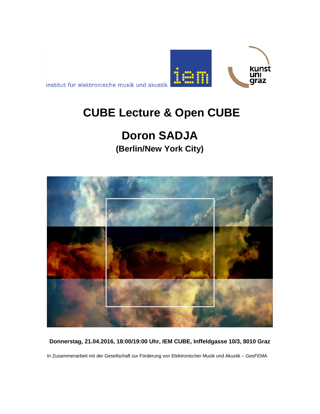

institut für elektronische musik und akustik

## **CUBE Lecture & Open CUBE**

# **Doron SADJA**

**(Berlin/New York City)**



**Donnerstag, 21.04.2016, 18:00/19:00 Uhr, IEM CUBE, Inffeldgasse 10/3, 8010 Graz**

In Zusammenarbeit mit der Gesellschaft zur Förderung von Elektronischer Musik und Akustik – GesFEMA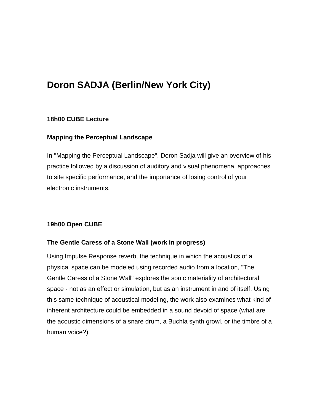### **Doron SADJA (Berlin/New York City)**

#### **18h00 CUBE Lecture**

#### **Mapping the Perceptual Landscape**

In "Mapping the Perceptual Landscape", Doron Sadja will give an overview of his practice followed by a discussion of auditory and visual phenomena, approaches to site specific performance, and the importance of losing control of your electronic instruments.

#### **19h00 Open CUBE**

#### **The Gentle Caress of a Stone Wall (work in progress)**

Using Impulse Response reverb, the technique in which the acoustics of a physical space can be modeled using recorded audio from a location, "The Gentle Caress of a Stone Wall" explores the sonic materiality of architectural space - not as an effect or simulation, but as an instrument in and of itself. Using this same technique of acoustical modeling, the work also examines what kind of inherent architecture could be embedded in a sound devoid of space (what are the acoustic dimensions of a snare drum, a Buchla synth growl, or the timbre of a human voice?).